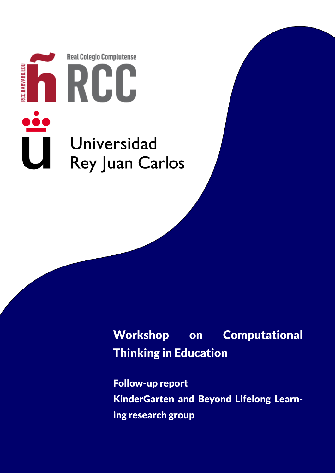

# Workshop on Computational Thinking in Education

Follow-up report KinderGarten and Beyond Lifelong Learning research group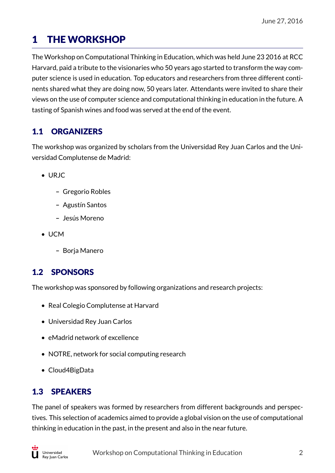# 1 THE WORKSHOP

The Workshop on Computational Thinking in Education, which was held June 23 2016 at RCC Harvard, paid a tribute to the visionaries who 50 years ago started to transform the way computer science is used in education. Top educators and researchers from three different continents shared what they are doing now, 50 years later. Attendants were invited to share their views on the use of computer science and computational thinking in education in the future. A tasting of Spanish wines and food was served at the end of the event.

### 1.1 ORGANIZERS

The workshop was organized by scholars from the Universidad Rey Juan Carlos and the Universidad Complutense de Madrid:

- URJC
	- **–** Gregorio Robles
	- **–** Agustín Santos
	- **–** Jesús Moreno
- UCM
	- **–** Borja Manero

#### 1.2 SPONSORS

The workshop was sponsored by following organizations and research projects:

- Real Colegio Complutense at Harvard
- Universidad Rey Juan Carlos
- eMadrid network of excellence
- NOTRE, network for social computing research
- Cloud4BigData

### 1.3 SPEAKERS

The panel of speakers was formed by researchers from different backgrounds and perspectives. This selection of academics aimed to provide a global vision on the use of computational thinking in education in the past, in the present and also in the near future.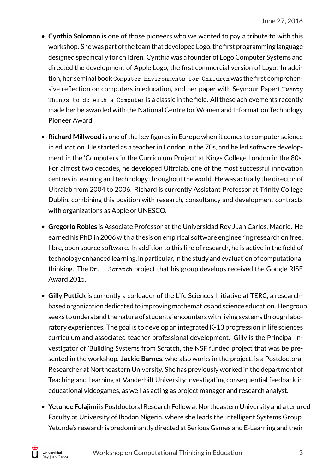- **Cynthia Solomon** is one of those pioneers who we wanted to pay a tribute to with this workshop. She was part of the team that developed Logo, the first programming language designed specifically for children. Cynthia was a founder of Logo Computer Systems and directed the development of Apple Logo, the first commercial version of Logo. In addition, her seminal book Computer Environments for Children was the first comprehensive reflection on computers in education, and her paper with Seymour Papert Twenty Things to do with a Computer is a classic in the field. All these achievements recently made her be awarded with the National Centre for Women and Information Technology Pioneer Award.
- **Richard Millwood** is one of the key figures in Europe when it comes to computer science in education. He started as a teacher in London in the 70s, and he led software development in the 'Computers in the Curriculum Project' at Kings College London in the 80s. For almost two decades, he developed Ultralab, one of the most successful innovation centres in learning and technology throughout the world. He was actually the director of Ultralab from 2004 to 2006. Richard is currently Assistant Professor at Trinity College Dublin, combining this position with research, consultancy and development contracts with organizations as Apple or UNESCO.
- **Gregorio Robles** is Associate Professor at the Universidad Rey Juan Carlos, Madrid. He earned his PhD in 2006 with a thesis on empirical software engineering research on free, libre, open source software. In addition to this line of research, he is active in the field of technology enhanced learning, in particular, in the study and evaluation of computational thinking. The Dr. Scratch project that his group develops received the Google RISE Award 2015.
- **Gilly Puttick** is currently a co-leader of the Life Sciences Initiative at TERC, a researchbased organization dedicated to improvingmathematics and science education. Her group seeks to understand the nature of students' encounters with living systems through laboratory experiences. The goal is to develop an integrated K-13 progression in life sciences curriculum and associated teacher professional development. Gilly is the Principal Investigator of 'Building Systems from Scratch', the NSF funded project that was be presented in the workshop. **Jackie Barnes**, who also works in the project, is a Postdoctoral Researcher at Northeastern University. She has previously worked in the department of Teaching and Learning at Vanderbilt University investigating consequential feedback in educational videogames, as well as acting as project manager and research analyst.
- **Yetunde Folajimi** is Postdoctoral Research Fellow at Northeastern University and a tenured Faculty at University of Ibadan Nigeria, where she leads the Intelligent Systems Group. Yetunde's research is predominantly directed at Serious Games and E-Learning and their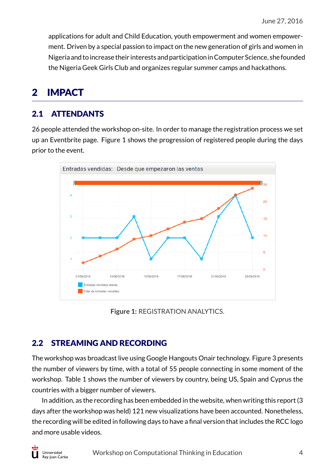applications for adult and Child Education, youth empowerment and women empowerment. Driven by a special passion to impact on the new generation of girls and women in Nigeria and to increase their interests and participation inComputer Science, she founded the Nigeria Geek Girls Club and organizes regular summer camps and hackathons.

## 2 IMPACT

#### 2.1 ATTENDANTS

26 people attended the workshop on-site. In order to manage the registration process we set up an Eventbrite page. Figure 1 shows the progression of registered people during the days prior to the event.



**Figure 1:** REGISTRATION ANALYTICS.

#### 2.2 STREAMING AND RECORDING

The workshop was broadcast live using Google Hangouts Onair technology. Figure 3 presents the number of viewers by time, with a total of 55 people connecting in some moment of the workshop. Table 1 shows the number of viewers by country, being US, Spain and Cyprus the countries with a bigger number of viewers.

In addition, as the recording has been embedded in the website, when writing this report (3 days after the workshop was held) 121 new visualizations have been accounted. Nonetheless, the recording will be edited in following days to have a final version that includes the RCC logo and more usable videos.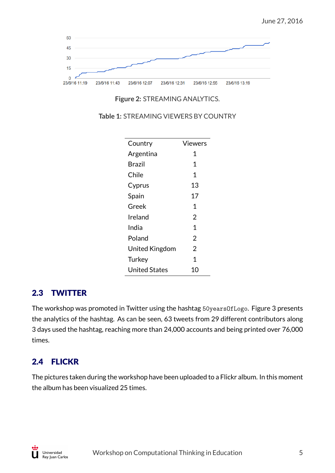

**Figure 2:** STREAMING ANALYTICS.

| Country              | Viewers        |
|----------------------|----------------|
| Argentina            | 1              |
| Brazil               | 1              |
| Chile                | 1              |
| Cyprus               | 13             |
| Spain                | 17             |
| Greek                | 1              |
| Ireland              | $\overline{2}$ |
| India                | 1              |
| Poland               | 2              |
| United Kingdom       | 2              |
| Turkey               | 1              |
| <b>United States</b> | 10             |

**Table 1:** STREAMING VIEWERS BY COUNTRY

#### 2.3 TWITTER

The workshop was promoted in Twitter using the hashtag 50yearsOfLogo. Figure 3 presents the analytics of the hashtag. As can be seen, 63 tweets from 29 different contributors along 3 days used the hashtag, reaching more than 24,000 accounts and being printed over 76,000 times.

#### 2.4 FLICKR

The pictures taken during the workshop have been uploaded to a Flickr album. In this moment the album has been visualized 25 times.